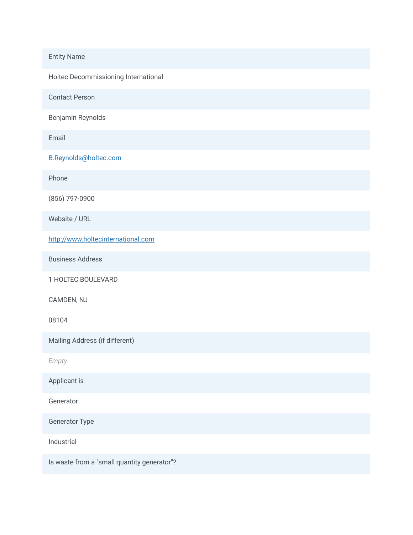## Entity Name

Holtec Decommissioning International

Contact Person

Benjamin Reynolds

Email

B.Reynolds@holtec.com

Phone

(856) 797-0900

Website / URL

[http://www.holtecinternational.com](http://www.holtecinternational.com/)

Business Address

1 HOLTEC BOULEVARD

CAMDEN, NJ

08104

Mailing Address (if different)

*Empty*

Applicant is

Generator

Generator Type

Industrial

Is waste from a "small quantity generator"?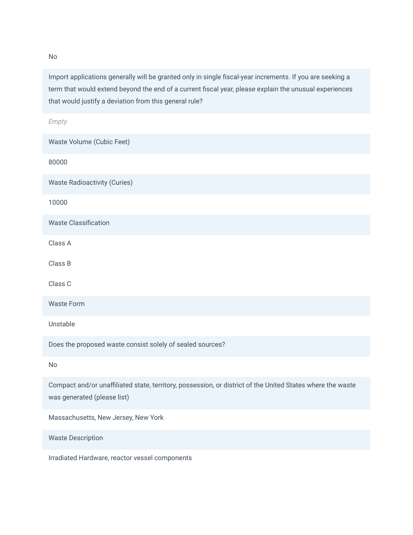Import applications generally will be granted only in single fiscal-year increments. If you are seeking a term that would extend beyond the end of a current fiscal year, please explain the unusual experiences that would justify a deviation from this general rule?

| Empty                                                                                                                                     |
|-------------------------------------------------------------------------------------------------------------------------------------------|
| Waste Volume (Cubic Feet)                                                                                                                 |
| 80000                                                                                                                                     |
| <b>Waste Radioactivity (Curies)</b>                                                                                                       |
| 10000                                                                                                                                     |
| <b>Waste Classification</b>                                                                                                               |
| Class A                                                                                                                                   |
| Class B                                                                                                                                   |
| Class C                                                                                                                                   |
| <b>Waste Form</b>                                                                                                                         |
| Unstable                                                                                                                                  |
| Does the proposed waste consist solely of sealed sources?                                                                                 |
| <b>No</b>                                                                                                                                 |
| Compact and/or unaffiliated state, territory, possession, or district of the United States where the waste<br>was generated (please list) |
| Massachusetts, New Jersey, New York                                                                                                       |
| <b>Waste Description</b>                                                                                                                  |
| Irradiated Hardware, reactor vessel components                                                                                            |

No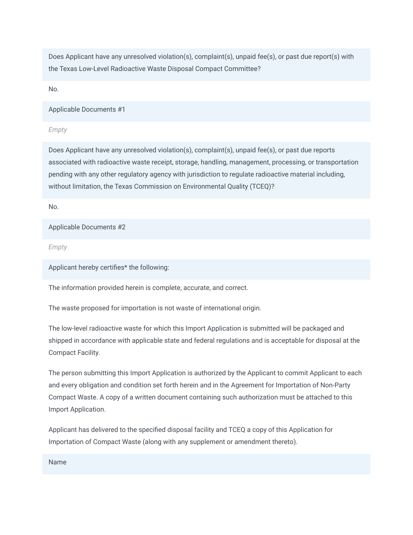Does Applicant have any unresolved violation(s), complaint(s), unpaid fee(s), or past due report(s) with the Texas Low-Level Radioactive Waste Disposal Compact Committee?

No.

Applicable Documents #1

*Empty*

Does Applicant have any unresolved violation(s), complaint(s), unpaid fee(s), or past due reports associated with radioactive waste receipt, storage, handling, management, processing, or transportation pending with any other regulatory agency with jurisdiction to regulate radioactive material including, without limitation, the Texas Commission on Environmental Quality (TCEQ)?

No.

Applicable Documents #2

*Empty*

Applicant hereby certifies\* the following:

The information provided herein is complete, accurate, and correct.

The waste proposed for importation is not waste of international origin.

The low-level radioactive waste for which this Import Application is submitted will be packaged and shipped in accordance with applicable state and federal regulations and is acceptable for disposal at the Compact Facility.

The person submitting this Import Application is authorized by the Applicant to commit Applicant to each and every obligation and condition set forth herein and in the Agreement for Importation of Non-Party Compact Waste. A copy of a written document containing such authorization must be attached to this Import Application.

Applicant has delivered to the specified disposal facility and TCEQ a copy of this Application for Importation of Compact Waste (along with any supplement or amendment thereto).

Name